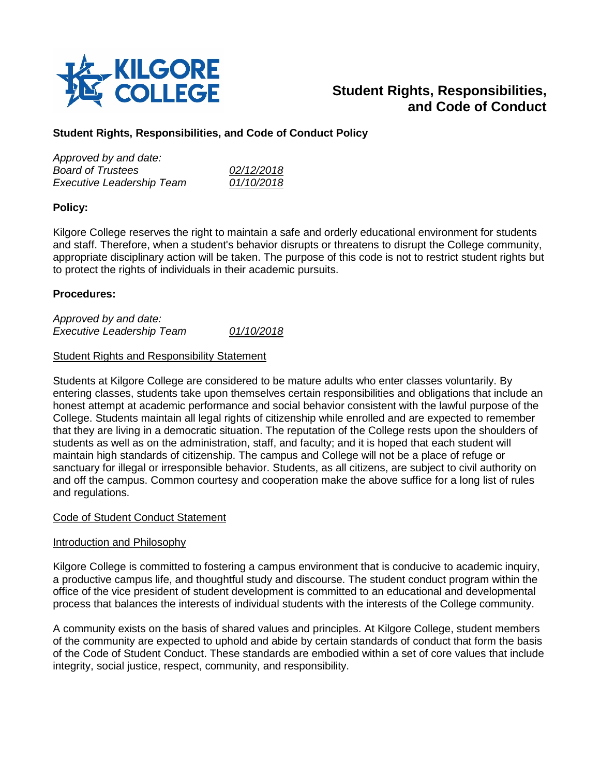

# **Student Rights, Responsibilities, and Code of Conduct**

# **Student Rights, Responsibilities, and Code of Conduct Policy**

| 02/12/2018 |
|------------|
| 01/10/2018 |
|            |

# **Policy:**

Kilgore College reserves the right to maintain a safe and orderly educational environment for students and staff. Therefore, when a student's behavior disrupts or threatens to disrupt the College community, appropriate disciplinary action will be taken. The purpose of this code is not to restrict student rights but to protect the rights of individuals in their academic pursuits.

# **Procedures:**

*Approved by and date: Executive Leadership Team 01/10/2018*

### Student Rights and Responsibility Statement

Students at Kilgore College are considered to be mature adults who enter classes voluntarily. By entering classes, students take upon themselves certain responsibilities and obligations that include an honest attempt at academic performance and social behavior consistent with the lawful purpose of the College. Students maintain all legal rights of citizenship while enrolled and are expected to remember that they are living in a democratic situation. The reputation of the College rests upon the shoulders of students as well as on the administration, staff, and faculty; and it is hoped that each student will maintain high standards of citizenship. The campus and College will not be a place of refuge or sanctuary for illegal or irresponsible behavior. Students, as all citizens, are subject to civil authority on and off the campus. Common courtesy and cooperation make the above suffice for a long list of rules and regulations.

### Code of Student Conduct Statement

### Introduction and Philosophy

Kilgore College is committed to fostering a campus environment that is conducive to academic inquiry, a productive campus life, and thoughtful study and discourse. The student conduct program within the office of the vice president of student development is committed to an educational and developmental process that balances the interests of individual students with the interests of the College community.

A community exists on the basis of shared values and principles. At Kilgore College, student members of the community are expected to uphold and abide by certain standards of conduct that form the basis of the Code of Student Conduct. These standards are embodied within a set of core values that include integrity, social justice, respect, community, and responsibility.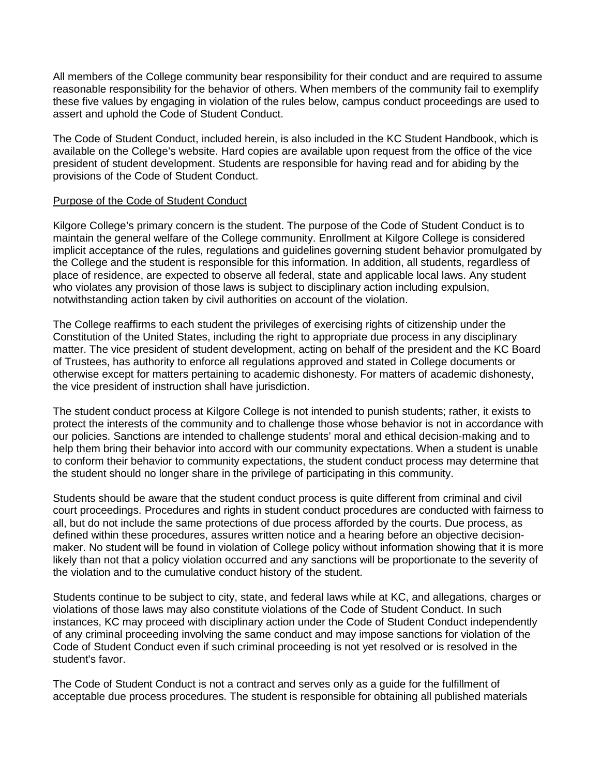All members of the College community bear responsibility for their conduct and are required to assume reasonable responsibility for the behavior of others. When members of the community fail to exemplify these five values by engaging in violation of the rules below, campus conduct proceedings are used to assert and uphold the Code of Student Conduct.

The Code of Student Conduct, included herein, is also included in the KC Student Handbook, which is available on the College's website. Hard copies are available upon request from the office of the vice president of student development. Students are responsible for having read and for abiding by the provisions of the Code of Student Conduct.

#### Purpose of the Code of Student Conduct

Kilgore College's primary concern is the student. The purpose of the Code of Student Conduct is to maintain the general welfare of the College community. Enrollment at Kilgore College is considered implicit acceptance of the rules, regulations and guidelines governing student behavior promulgated by the College and the student is responsible for this information. In addition, all students, regardless of place of residence, are expected to observe all federal, state and applicable local laws. Any student who violates any provision of those laws is subject to disciplinary action including expulsion, notwithstanding action taken by civil authorities on account of the violation.

The College reaffirms to each student the privileges of exercising rights of citizenship under the Constitution of the United States, including the right to appropriate due process in any disciplinary matter. The vice president of student development, acting on behalf of the president and the KC Board of Trustees, has authority to enforce all regulations approved and stated in College documents or otherwise except for matters pertaining to academic dishonesty. For matters of academic dishonesty, the vice president of instruction shall have jurisdiction.

The student conduct process at Kilgore College is not intended to punish students; rather, it exists to protect the interests of the community and to challenge those whose behavior is not in accordance with our policies. Sanctions are intended to challenge students' moral and ethical decision-making and to help them bring their behavior into accord with our community expectations. When a student is unable to conform their behavior to community expectations, the student conduct process may determine that the student should no longer share in the privilege of participating in this community.

Students should be aware that the student conduct process is quite different from criminal and civil court proceedings. Procedures and rights in student conduct procedures are conducted with fairness to all, but do not include the same protections of due process afforded by the courts. Due process, as defined within these procedures, assures written notice and a hearing before an objective decisionmaker. No student will be found in violation of College policy without information showing that it is more likely than not that a policy violation occurred and any sanctions will be proportionate to the severity of the violation and to the cumulative conduct history of the student.

Students continue to be subject to city, state, and federal laws while at KC, and allegations, charges or violations of those laws may also constitute violations of the Code of Student Conduct. In such instances, KC may proceed with disciplinary action under the Code of Student Conduct independently of any criminal proceeding involving the same conduct and may impose sanctions for violation of the Code of Student Conduct even if such criminal proceeding is not yet resolved or is resolved in the student's favor.

The Code of Student Conduct is not a contract and serves only as a guide for the fulfillment of acceptable due process procedures. The student is responsible for obtaining all published materials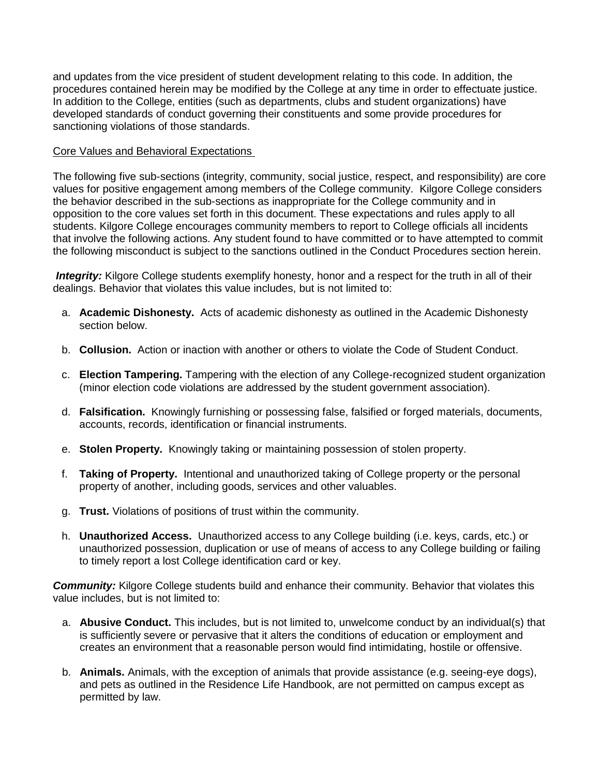and updates from the vice president of student development relating to this code. In addition, the procedures contained herein may be modified by the College at any time in order to effectuate justice. In addition to the College, entities (such as departments, clubs and student organizations) have developed standards of conduct governing their constituents and some provide procedures for sanctioning violations of those standards.

### Core Values and Behavioral Expectations

The following five sub-sections (integrity, community, social justice, respect, and responsibility) are core values for positive engagement among members of the College community. Kilgore College considers the behavior described in the sub-sections as inappropriate for the College community and in opposition to the core values set forth in this document. These expectations and rules apply to all students. Kilgore College encourages community members to report to College officials all incidents that involve the following actions. Any student found to have committed or to have attempted to commit the following misconduct is subject to the sanctions outlined in the Conduct Procedures section herein.

*Integrity:* Kilgore College students exemplify honesty, honor and a respect for the truth in all of their dealings. Behavior that violates this value includes, but is not limited to:

- a. **Academic Dishonesty.** Acts of academic dishonesty as outlined in the Academic Dishonesty section below.
- b. **Collusion.** Action or inaction with another or others to violate the Code of Student Conduct.
- c. **Election Tampering.** Tampering with the election of any College-recognized student organization (minor election code violations are addressed by the student government association).
- d. **Falsification.** Knowingly furnishing or possessing false, falsified or forged materials, documents, accounts, records, identification or financial instruments.
- e. **Stolen Property.** Knowingly taking or maintaining possession of stolen property.
- f. **Taking of Property.** Intentional and unauthorized taking of College property or the personal property of another, including goods, services and other valuables.
- g. **Trust.** Violations of positions of trust within the community.
- h. **Unauthorized Access.** Unauthorized access to any College building (i.e. keys, cards, etc.) or unauthorized possession, duplication or use of means of access to any College building or failing to timely report a lost College identification card or key.

**Community:** Kilgore College students build and enhance their community. Behavior that violates this value includes, but is not limited to:

- a. **Abusive Conduct.** This includes, but is not limited to, unwelcome conduct by an individual(s) that is sufficiently severe or pervasive that it alters the conditions of education or employment and creates an environment that a reasonable person would find intimidating, hostile or offensive.
- b. **Animals.** Animals, with the exception of animals that provide assistance (e.g. seeing-eye dogs), and pets as outlined in the Residence Life Handbook, are not permitted on campus except as permitted by law.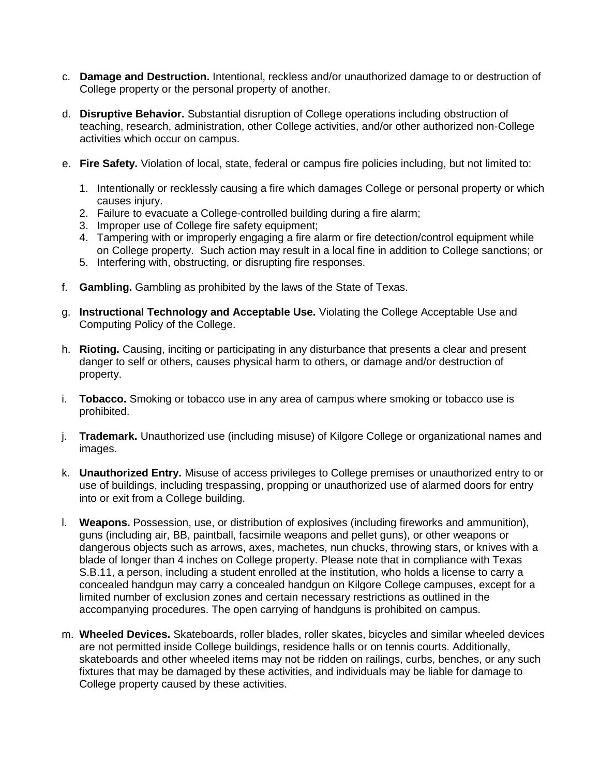- c. **Damage and Destruction.** Intentional, reckless and/or unauthorized damage to or destruction of College property or the personal property of another.
- d. **Disruptive Behavior.** Substantial disruption of College operations including obstruction of teaching, research, administration, other College activities, and/or other authorized non-College activities which occur on campus.
- e. **Fire Safety.** Violation of local, state, federal or campus fire policies including, but not limited to:
	- 1. Intentionally or recklessly causing a fire which damages College or personal property or which causes injury.
	- 2. Failure to evacuate a College-controlled building during a fire alarm;
	- 3. Improper use of College fire safety equipment;
	- 4. Tampering with or improperly engaging a fire alarm or fire detection/control equipment while on College property. Such action may result in a local fine in addition to College sanctions; or
	- 5. Interfering with, obstructing, or disrupting fire responses.
- f. **Gambling.** Gambling as prohibited by the laws of the State of Texas.
- g. **Instructional Technology and Acceptable Use.** Violating the College Acceptable Use and Computing Policy of the College.
- h. **Rioting.** Causing, inciting or participating in any disturbance that presents a clear and present danger to self or others, causes physical harm to others, or damage and/or destruction of property.
- i. **Tobacco.** Smoking or tobacco use in any area of campus where smoking or tobacco use is prohibited.
- j. **Trademark.** Unauthorized use (including misuse) of Kilgore College or organizational names and images.
- k. **Unauthorized Entry.** Misuse of access privileges to College premises or unauthorized entry to or use of buildings, including trespassing, propping or unauthorized use of alarmed doors for entry into or exit from a College building.
- l. **Weapons.** Possession, use, or distribution of explosives (including fireworks and ammunition), guns (including air, BB, paintball, facsimile weapons and pellet guns), or other weapons or dangerous objects such as arrows, axes, machetes, nun chucks, throwing stars, or knives with a blade of longer than 4 inches on College property. Please note that in compliance with Texas S.B.11, a person, including a student enrolled at the institution, who holds a license to carry a concealed handgun may carry a concealed handgun on Kilgore College campuses, except for a limited number of exclusion zones and certain necessary restrictions as outlined in the accompanying procedures. The open carrying of handguns is prohibited on campus.
- m. **Wheeled Devices.** Skateboards, roller blades, roller skates, bicycles and similar wheeled devices are not permitted inside College buildings, residence halls or on tennis courts. Additionally, skateboards and other wheeled items may not be ridden on railings, curbs, benches, or any such fixtures that may be damaged by these activities, and individuals may be liable for damage to College property caused by these activities.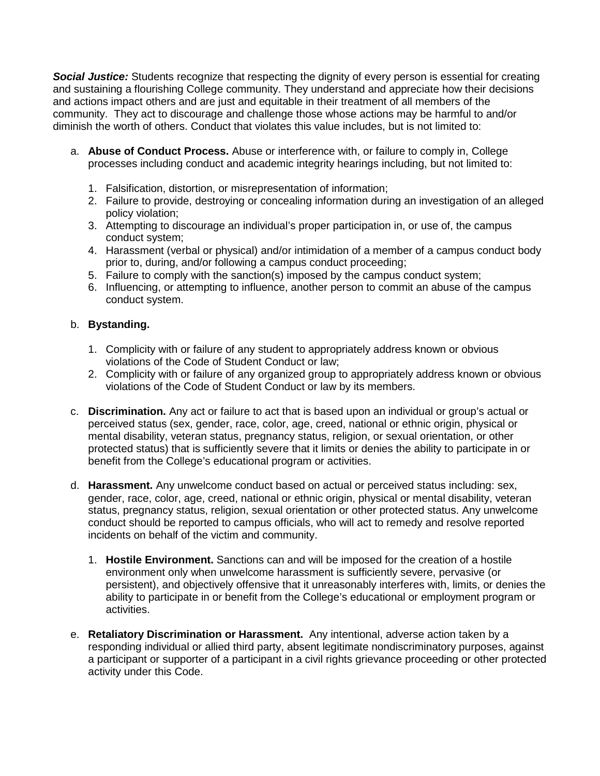*Social Justice:* Students recognize that respecting the dignity of every person is essential for creating and sustaining a flourishing College community. They understand and appreciate how their decisions and actions impact others and are just and equitable in their treatment of all members of the community. They act to discourage and challenge those whose actions may be harmful to and/or diminish the worth of others. Conduct that violates this value includes, but is not limited to:

- a. **Abuse of Conduct Process.** Abuse or interference with, or failure to comply in, College processes including conduct and academic integrity hearings including, but not limited to:
	- 1. Falsification, distortion, or misrepresentation of information;
	- 2. Failure to provide, destroying or concealing information during an investigation of an alleged policy violation;
	- 3. Attempting to discourage an individual's proper participation in, or use of, the campus conduct system;
	- 4. Harassment (verbal or physical) and/or intimidation of a member of a campus conduct body prior to, during, and/or following a campus conduct proceeding;
	- 5. Failure to comply with the sanction(s) imposed by the campus conduct system;
	- 6. Influencing, or attempting to influence, another person to commit an abuse of the campus conduct system.

# b. **Bystanding.**

- 1. Complicity with or failure of any student to appropriately address known or obvious violations of the Code of Student Conduct or law;
- 2. Complicity with or failure of any organized group to appropriately address known or obvious violations of the Code of Student Conduct or law by its members.
- c. **Discrimination.** Any act or failure to act that is based upon an individual or group's actual or perceived status (sex, gender, race, color, age, creed, national or ethnic origin, physical or mental disability, veteran status, pregnancy status, religion, or sexual orientation, or other protected status) that is sufficiently severe that it limits or denies the ability to participate in or benefit from the College's educational program or activities.
- d. **Harassment.** Any unwelcome conduct based on actual or perceived status including: sex, gender, race, color, age, creed, national or ethnic origin, physical or mental disability, veteran status, pregnancy status, religion, sexual orientation or other protected status. Any unwelcome conduct should be reported to campus officials, who will act to remedy and resolve reported incidents on behalf of the victim and community.
	- 1. **Hostile Environment.** Sanctions can and will be imposed for the creation of a hostile environment only when unwelcome harassment is sufficiently severe, pervasive (or persistent), and objectively offensive that it unreasonably interferes with, limits, or denies the ability to participate in or benefit from the College's educational or employment program or activities.
- e. **Retaliatory Discrimination or Harassment.** Any intentional, adverse action taken by a responding individual or allied third party, absent legitimate nondiscriminatory purposes, against a participant or supporter of a participant in a civil rights grievance proceeding or other protected activity under this Code.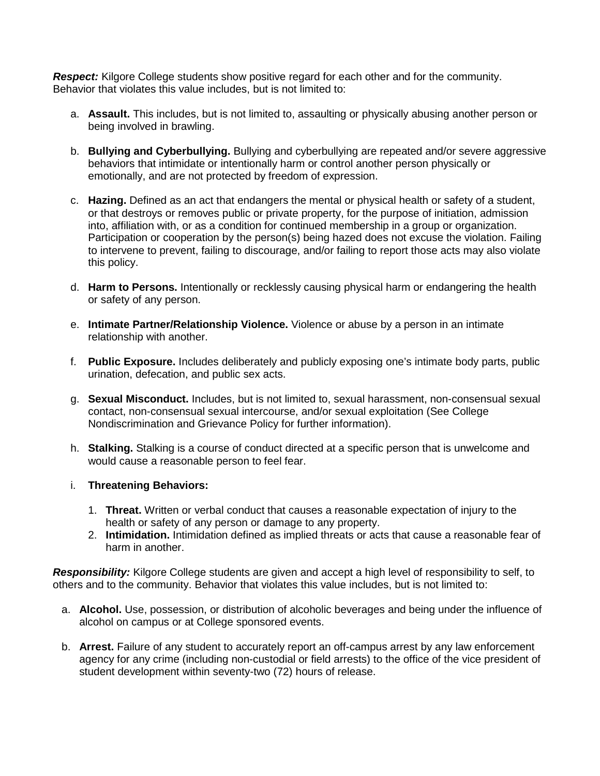*Respect:* Kilgore College students show positive regard for each other and for the community. Behavior that violates this value includes, but is not limited to:

- a. **Assault.** This includes, but is not limited to, assaulting or physically abusing another person or being involved in brawling.
- b. **Bullying and Cyberbullying.** Bullying and cyberbullying are repeated and/or severe aggressive behaviors that intimidate or intentionally harm or control another person physically or emotionally, and are not protected by freedom of expression.
- c. **Hazing.** Defined as an act that endangers the mental or physical health or safety of a student, or that destroys or removes public or private property, for the purpose of initiation, admission into, affiliation with, or as a condition for continued membership in a group or organization. Participation or cooperation by the person(s) being hazed does not excuse the violation. Failing to intervene to prevent, failing to discourage, and/or failing to report those acts may also violate this policy.
- d. **Harm to Persons.** Intentionally or recklessly causing physical harm or endangering the health or safety of any person.
- e. **Intimate Partner/Relationship Violence.** Violence or abuse by a person in an intimate relationship with another.
- f. **Public Exposure.** Includes deliberately and publicly exposing one's intimate body parts, public urination, defecation, and public sex acts.
- g. **Sexual Misconduct.** Includes, but is not limited to, sexual harassment, non-consensual sexual contact, non-consensual sexual intercourse, and/or sexual exploitation (See College Nondiscrimination and Grievance Policy for further information).
- h. **Stalking.** Stalking is a course of conduct directed at a specific person that is unwelcome and would cause a reasonable person to feel fear.
- i. **Threatening Behaviors:** 
	- 1. **Threat.** Written or verbal conduct that causes a reasonable expectation of injury to the health or safety of any person or damage to any property.
	- 2. **Intimidation.** Intimidation defined as implied threats or acts that cause a reasonable fear of harm in another.

*Responsibility:* Kilgore College students are given and accept a high level of responsibility to self, to others and to the community. Behavior that violates this value includes, but is not limited to:

- a. **Alcohol.** Use, possession, or distribution of alcoholic beverages and being under the influence of alcohol on campus or at College sponsored events.
- b. **Arrest.** Failure of any student to accurately report an off-campus arrest by any law enforcement agency for any crime (including non-custodial or field arrests) to the office of the vice president of student development within seventy-two (72) hours of release.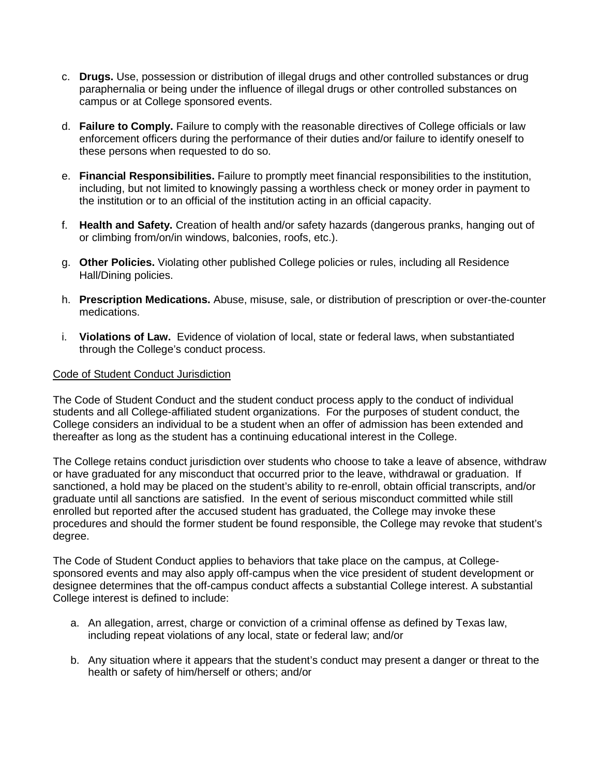- c. **Drugs.** Use, possession or distribution of illegal drugs and other controlled substances or drug paraphernalia or being under the influence of illegal drugs or other controlled substances on campus or at College sponsored events.
- d. **Failure to Comply.** Failure to comply with the reasonable directives of College officials or law enforcement officers during the performance of their duties and/or failure to identify oneself to these persons when requested to do so.
- e. **Financial Responsibilities.** Failure to promptly meet financial responsibilities to the institution, including, but not limited to knowingly passing a worthless check or money order in payment to the institution or to an official of the institution acting in an official capacity.
- f. **Health and Safety.** Creation of health and/or safety hazards (dangerous pranks, hanging out of or climbing from/on/in windows, balconies, roofs, etc.).
- g. **Other Policies.** Violating other published College policies or rules, including all Residence Hall/Dining policies.
- h. **Prescription Medications.** Abuse, misuse, sale, or distribution of prescription or over-the-counter medications.
- i. **Violations of Law.** Evidence of violation of local, state or federal laws, when substantiated through the College's conduct process.

### Code of Student Conduct Jurisdiction

The Code of Student Conduct and the student conduct process apply to the conduct of individual students and all College-affiliated student organizations. For the purposes of student conduct, the College considers an individual to be a student when an offer of admission has been extended and thereafter as long as the student has a continuing educational interest in the College.

The College retains conduct jurisdiction over students who choose to take a leave of absence, withdraw or have graduated for any misconduct that occurred prior to the leave, withdrawal or graduation. If sanctioned, a hold may be placed on the student's ability to re-enroll, obtain official transcripts, and/or graduate until all sanctions are satisfied. In the event of serious misconduct committed while still enrolled but reported after the accused student has graduated, the College may invoke these procedures and should the former student be found responsible, the College may revoke that student's degree.

The Code of Student Conduct applies to behaviors that take place on the campus, at Collegesponsored events and may also apply off-campus when the vice president of student development or designee determines that the off-campus conduct affects a substantial College interest. A substantial College interest is defined to include:

- a. An allegation, arrest, charge or conviction of a criminal offense as defined by Texas law, including repeat violations of any local, state or federal law; and/or
- b. Any situation where it appears that the student's conduct may present a danger or threat to the health or safety of him/herself or others; and/or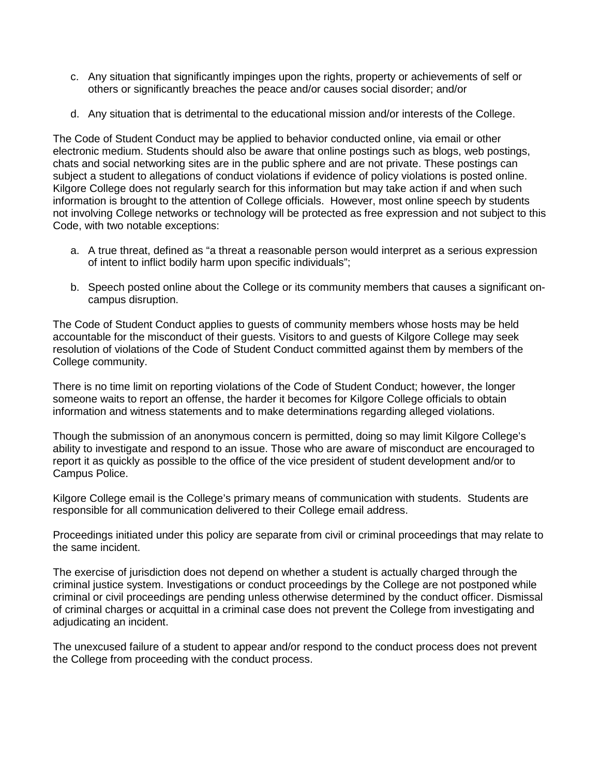- c. Any situation that significantly impinges upon the rights, property or achievements of self or others or significantly breaches the peace and/or causes social disorder; and/or
- d. Any situation that is detrimental to the educational mission and/or interests of the College.

The Code of Student Conduct may be applied to behavior conducted online, via email or other electronic medium. Students should also be aware that online postings such as blogs, web postings, chats and social networking sites are in the public sphere and are not private. These postings can subject a student to allegations of conduct violations if evidence of policy violations is posted online. Kilgore College does not regularly search for this information but may take action if and when such information is brought to the attention of College officials. However, most online speech by students not involving College networks or technology will be protected as free expression and not subject to this Code, with two notable exceptions:

- a. A true threat, defined as "a threat a reasonable person would interpret as a serious expression of intent to inflict bodily harm upon specific individuals";
- b. Speech posted online about the College or its community members that causes a significant oncampus disruption.

The Code of Student Conduct applies to guests of community members whose hosts may be held accountable for the misconduct of their guests. Visitors to and guests of Kilgore College may seek resolution of violations of the Code of Student Conduct committed against them by members of the College community.

There is no time limit on reporting violations of the Code of Student Conduct; however, the longer someone waits to report an offense, the harder it becomes for Kilgore College officials to obtain information and witness statements and to make determinations regarding alleged violations.

Though the submission of an anonymous concern is permitted, doing so may limit Kilgore College's ability to investigate and respond to an issue. Those who are aware of misconduct are encouraged to report it as quickly as possible to the office of the vice president of student development and/or to Campus Police.

Kilgore College email is the College's primary means of communication with students. Students are responsible for all communication delivered to their College email address.

Proceedings initiated under this policy are separate from civil or criminal proceedings that may relate to the same incident.

The exercise of jurisdiction does not depend on whether a student is actually charged through the criminal justice system. Investigations or conduct proceedings by the College are not postponed while criminal or civil proceedings are pending unless otherwise determined by the conduct officer. Dismissal of criminal charges or acquittal in a criminal case does not prevent the College from investigating and adjudicating an incident.

The unexcused failure of a student to appear and/or respond to the conduct process does not prevent the College from proceeding with the conduct process.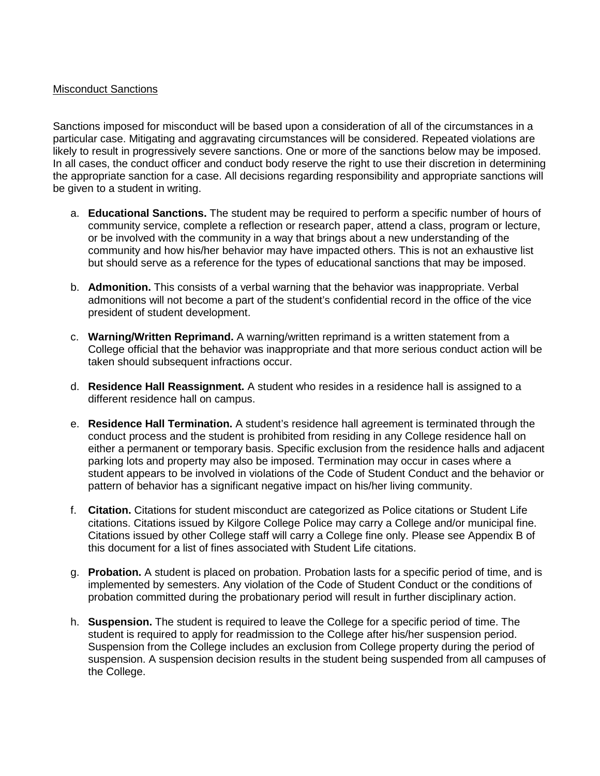### Misconduct Sanctions

Sanctions imposed for misconduct will be based upon a consideration of all of the circumstances in a particular case. Mitigating and aggravating circumstances will be considered. Repeated violations are likely to result in progressively severe sanctions. One or more of the sanctions below may be imposed. In all cases, the conduct officer and conduct body reserve the right to use their discretion in determining the appropriate sanction for a case. All decisions regarding responsibility and appropriate sanctions will be given to a student in writing.

- a. **Educational Sanctions.** The student may be required to perform a specific number of hours of community service, complete a reflection or research paper, attend a class, program or lecture, or be involved with the community in a way that brings about a new understanding of the community and how his/her behavior may have impacted others. This is not an exhaustive list but should serve as a reference for the types of educational sanctions that may be imposed.
- b. **Admonition.** This consists of a verbal warning that the behavior was inappropriate. Verbal admonitions will not become a part of the student's confidential record in the office of the vice president of student development.
- c. **Warning/Written Reprimand.** A warning/written reprimand is a written statement from a College official that the behavior was inappropriate and that more serious conduct action will be taken should subsequent infractions occur.
- d. **Residence Hall Reassignment.** A student who resides in a residence hall is assigned to a different residence hall on campus.
- e. **Residence Hall Termination.** A student's residence hall agreement is terminated through the conduct process and the student is prohibited from residing in any College residence hall on either a permanent or temporary basis. Specific exclusion from the residence halls and adjacent parking lots and property may also be imposed. Termination may occur in cases where a student appears to be involved in violations of the Code of Student Conduct and the behavior or pattern of behavior has a significant negative impact on his/her living community.
- f. **Citation.** Citations for student misconduct are categorized as Police citations or Student Life citations. Citations issued by Kilgore College Police may carry a College and/or municipal fine. Citations issued by other College staff will carry a College fine only. Please see Appendix B of this document for a list of fines associated with Student Life citations.
- g. **Probation.** A student is placed on probation. Probation lasts for a specific period of time, and is implemented by semesters. Any violation of the Code of Student Conduct or the conditions of probation committed during the probationary period will result in further disciplinary action.
- h. **Suspension.** The student is required to leave the College for a specific period of time. The student is required to apply for readmission to the College after his/her suspension period. Suspension from the College includes an exclusion from College property during the period of suspension. A suspension decision results in the student being suspended from all campuses of the College.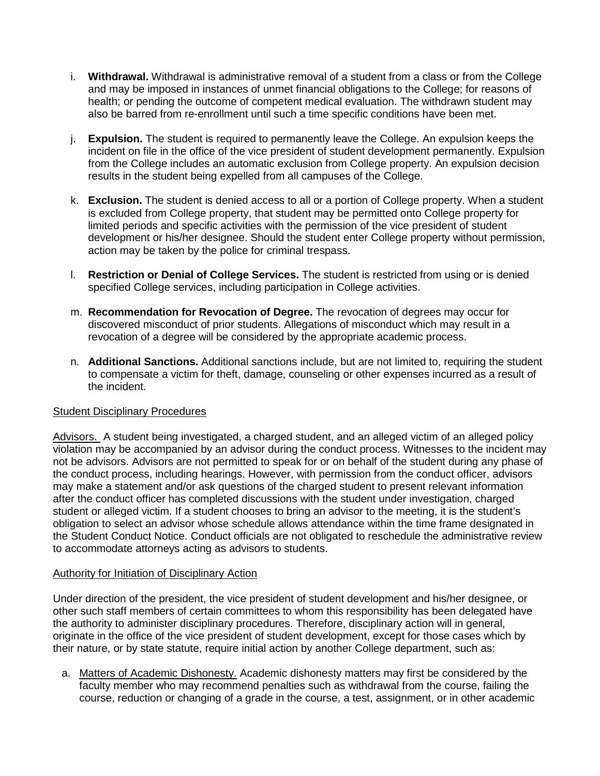- i. **Withdrawal.** Withdrawal is administrative removal of a student from a class or from the College and may be imposed in instances of unmet financial obligations to the College; for reasons of health; or pending the outcome of competent medical evaluation. The withdrawn student may also be barred from re-enrollment until such a time specific conditions have been met.
- j. **Expulsion.** The student is required to permanently leave the College. An expulsion keeps the incident on file in the office of the vice president of student development permanently. Expulsion from the College includes an automatic exclusion from College property. An expulsion decision results in the student being expelled from all campuses of the College.
- k. **Exclusion.** The student is denied access to all or a portion of College property. When a student is excluded from College property, that student may be permitted onto College property for limited periods and specific activities with the permission of the vice president of student development or his/her designee. Should the student enter College property without permission, action may be taken by the police for criminal trespass.
- l. **Restriction or Denial of College Services.** The student is restricted from using or is denied specified College services, including participation in College activities.
- m. **Recommendation for Revocation of Degree.** The revocation of degrees may occur for discovered misconduct of prior students. Allegations of misconduct which may result in a revocation of a degree will be considered by the appropriate academic process.
- n. **Additional Sanctions.** Additional sanctions include, but are not limited to, requiring the student to compensate a victim for theft, damage, counseling or other expenses incurred as a result of the incident.

# Student Disciplinary Procedures

Advisors. A student being investigated, a charged student, and an alleged victim of an alleged policy violation may be accompanied by an advisor during the conduct process. Witnesses to the incident may not be advisors. Advisors are not permitted to speak for or on behalf of the student during any phase of the conduct process, including hearings. However, with permission from the conduct officer, advisors may make a statement and/or ask questions of the charged student to present relevant information after the conduct officer has completed discussions with the student under investigation, charged student or alleged victim. If a student chooses to bring an advisor to the meeting, it is the student's obligation to select an advisor whose schedule allows attendance within the time frame designated in the Student Conduct Notice. Conduct officials are not obligated to reschedule the administrative review to accommodate attorneys acting as advisors to students.

### Authority for Initiation of Disciplinary Action

Under direction of the president, the vice president of student development and his/her designee, or other such staff members of certain committees to whom this responsibility has been delegated have the authority to administer disciplinary procedures. Therefore, disciplinary action will in general, originate in the office of the vice president of student development, except for those cases which by their nature, or by state statute, require initial action by another College department, such as:

a. Matters of Academic Dishonesty. Academic dishonesty matters may first be considered by the faculty member who may recommend penalties such as withdrawal from the course, failing the course, reduction or changing of a grade in the course, a test, assignment, or in other academic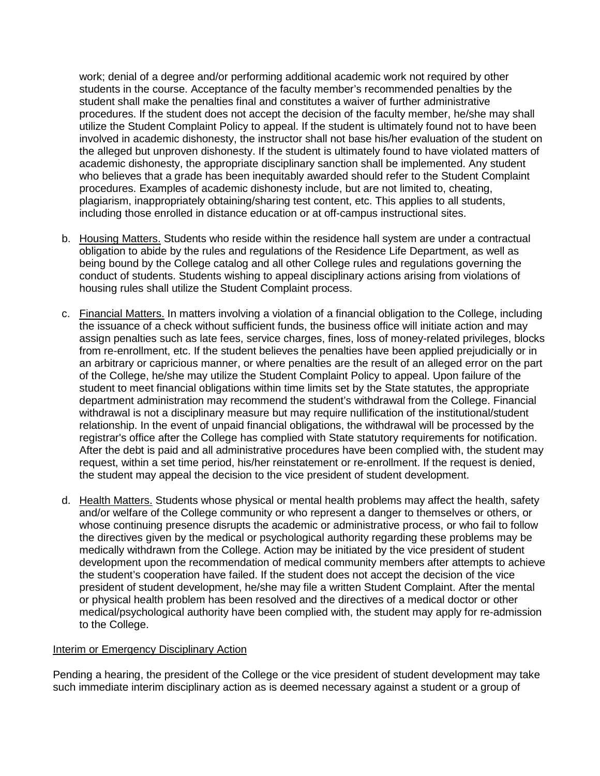work; denial of a degree and/or performing additional academic work not required by other students in the course. Acceptance of the faculty member's recommended penalties by the student shall make the penalties final and constitutes a waiver of further administrative procedures. If the student does not accept the decision of the faculty member, he/she may shall utilize the Student Complaint Policy to appeal. If the student is ultimately found not to have been involved in academic dishonesty, the instructor shall not base his/her evaluation of the student on the alleged but unproven dishonesty. If the student is ultimately found to have violated matters of academic dishonesty, the appropriate disciplinary sanction shall be implemented. Any student who believes that a grade has been inequitably awarded should refer to the Student Complaint procedures. Examples of academic dishonesty include, but are not limited to, cheating, plagiarism, inappropriately obtaining/sharing test content, etc. This applies to all students, including those enrolled in distance education or at off-campus instructional sites.

- b. Housing Matters. Students who reside within the residence hall system are under a contractual obligation to abide by the rules and regulations of the Residence Life Department, as well as being bound by the College catalog and all other College rules and regulations governing the conduct of students. Students wishing to appeal disciplinary actions arising from violations of housing rules shall utilize the Student Complaint process.
- c. Financial Matters. In matters involving a violation of a financial obligation to the College, including the issuance of a check without sufficient funds, the business office will initiate action and may assign penalties such as late fees, service charges, fines, loss of money-related privileges, blocks from re-enrollment, etc. If the student believes the penalties have been applied prejudicially or in an arbitrary or capricious manner, or where penalties are the result of an alleged error on the part of the College, he/she may utilize the Student Complaint Policy to appeal. Upon failure of the student to meet financial obligations within time limits set by the State statutes, the appropriate department administration may recommend the student's withdrawal from the College. Financial withdrawal is not a disciplinary measure but may require nullification of the institutional/student relationship. In the event of unpaid financial obligations, the withdrawal will be processed by the registrar's office after the College has complied with State statutory requirements for notification. After the debt is paid and all administrative procedures have been complied with, the student may request, within a set time period, his/her reinstatement or re-enrollment. If the request is denied, the student may appeal the decision to the vice president of student development.
- d. Health Matters. Students whose physical or mental health problems may affect the health, safety and/or welfare of the College community or who represent a danger to themselves or others, or whose continuing presence disrupts the academic or administrative process, or who fail to follow the directives given by the medical or psychological authority regarding these problems may be medically withdrawn from the College. Action may be initiated by the vice president of student development upon the recommendation of medical community members after attempts to achieve the student's cooperation have failed. If the student does not accept the decision of the vice president of student development, he/she may file a written Student Complaint. After the mental or physical health problem has been resolved and the directives of a medical doctor or other medical/psychological authority have been complied with, the student may apply for re-admission to the College.

# Interim or Emergency Disciplinary Action

Pending a hearing, the president of the College or the vice president of student development may take such immediate interim disciplinary action as is deemed necessary against a student or a group of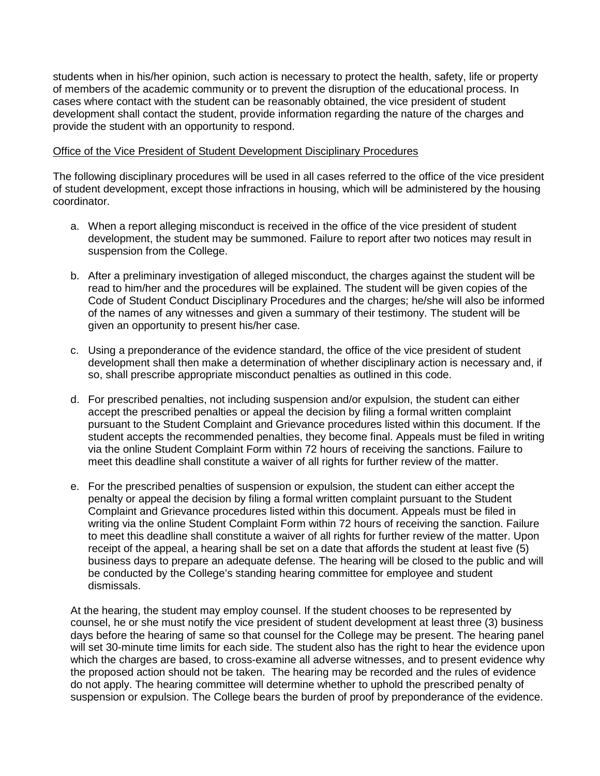students when in his/her opinion, such action is necessary to protect the health, safety, life or property of members of the academic community or to prevent the disruption of the educational process. In cases where contact with the student can be reasonably obtained, the vice president of student development shall contact the student, provide information regarding the nature of the charges and provide the student with an opportunity to respond.

### Office of the Vice President of Student Development Disciplinary Procedures

The following disciplinary procedures will be used in all cases referred to the office of the vice president of student development, except those infractions in housing, which will be administered by the housing coordinator.

- a. When a report alleging misconduct is received in the office of the vice president of student development, the student may be summoned. Failure to report after two notices may result in suspension from the College.
- b. After a preliminary investigation of alleged misconduct, the charges against the student will be read to him/her and the procedures will be explained. The student will be given copies of the Code of Student Conduct Disciplinary Procedures and the charges; he/she will also be informed of the names of any witnesses and given a summary of their testimony. The student will be given an opportunity to present his/her case.
- c. Using a preponderance of the evidence standard, the office of the vice president of student development shall then make a determination of whether disciplinary action is necessary and, if so, shall prescribe appropriate misconduct penalties as outlined in this code.
- d. For prescribed penalties, not including suspension and/or expulsion, the student can either accept the prescribed penalties or appeal the decision by filing a formal written complaint pursuant to the Student Complaint and Grievance procedures listed within this document. If the student accepts the recommended penalties, they become final. Appeals must be filed in writing via the online Student Complaint Form within 72 hours of receiving the sanctions. Failure to meet this deadline shall constitute a waiver of all rights for further review of the matter.
- e. For the prescribed penalties of suspension or expulsion, the student can either accept the penalty or appeal the decision by filing a formal written complaint pursuant to the Student Complaint and Grievance procedures listed within this document. Appeals must be filed in writing via the online Student Complaint Form within 72 hours of receiving the sanction. Failure to meet this deadline shall constitute a waiver of all rights for further review of the matter. Upon receipt of the appeal, a hearing shall be set on a date that affords the student at least five (5) business days to prepare an adequate defense. The hearing will be closed to the public and will be conducted by the College's standing hearing committee for employee and student dismissals.

At the hearing, the student may employ counsel. If the student chooses to be represented by counsel, he or she must notify the vice president of student development at least three (3) business days before the hearing of same so that counsel for the College may be present. The hearing panel will set 30-minute time limits for each side. The student also has the right to hear the evidence upon which the charges are based, to cross-examine all adverse witnesses, and to present evidence why the proposed action should not be taken. The hearing may be recorded and the rules of evidence do not apply. The hearing committee will determine whether to uphold the prescribed penalty of suspension or expulsion. The College bears the burden of proof by preponderance of the evidence.